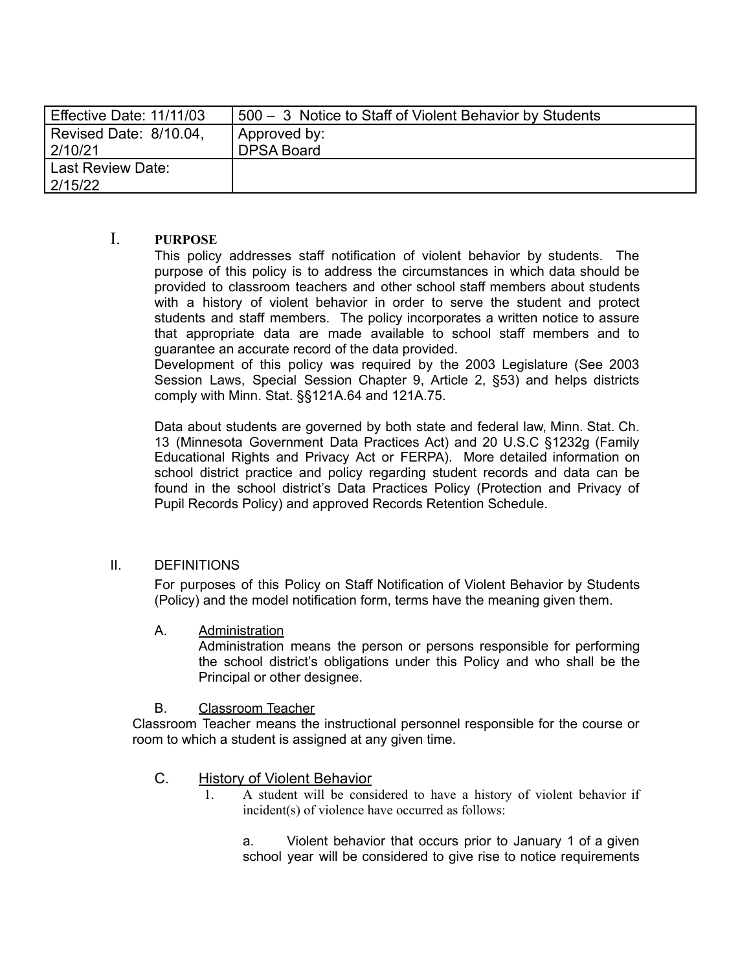| Effective Date: 11/11/03 | 500 - 3 Notice to Staff of Violent Behavior by Students |
|--------------------------|---------------------------------------------------------|
| Revised Date: 8/10.04,   | ' Approved by:                                          |
| 2/10/21                  | <b>DPSA Board</b>                                       |
| Last Review Date:        |                                                         |
| 2/15/22                  |                                                         |

## I. **PURPOSE**

This policy addresses staff notification of violent behavior by students. The purpose of this policy is to address the circumstances in which data should be provided to classroom teachers and other school staff members about students with a history of violent behavior in order to serve the student and protect students and staff members. The policy incorporates a written notice to assure that appropriate data are made available to school staff members and to guarantee an accurate record of the data provided.

Development of this policy was required by the 2003 Legislature (See 2003 Session Laws, Special Session Chapter 9, Article 2, §53) and helps districts comply with Minn. Stat. §§121A.64 and 121A.75.

Data about students are governed by both state and federal law, Minn. Stat. Ch. 13 (Minnesota Government Data Practices Act) and 20 U.S.C §1232g (Family Educational Rights and Privacy Act or FERPA). More detailed information on school district practice and policy regarding student records and data can be found in the school district's Data Practices Policy (Protection and Privacy of Pupil Records Policy) and approved Records Retention Schedule.

### II. DEFINITIONS

For purposes of this Policy on Staff Notification of Violent Behavior by Students (Policy) and the model notification form, terms have the meaning given them.

A. Administration

Administration means the person or persons responsible for performing the school district's obligations under this Policy and who shall be the Principal or other designee.

B. Classroom Teacher

Classroom Teacher means the instructional personnel responsible for the course or room to which a student is assigned at any given time.

- C. History of Violent Behavior
	- 1. A student will be considered to have a history of violent behavior if incident(s) of violence have occurred as follows:

a. Violent behavior that occurs prior to January 1 of a given school year will be considered to give rise to notice requirements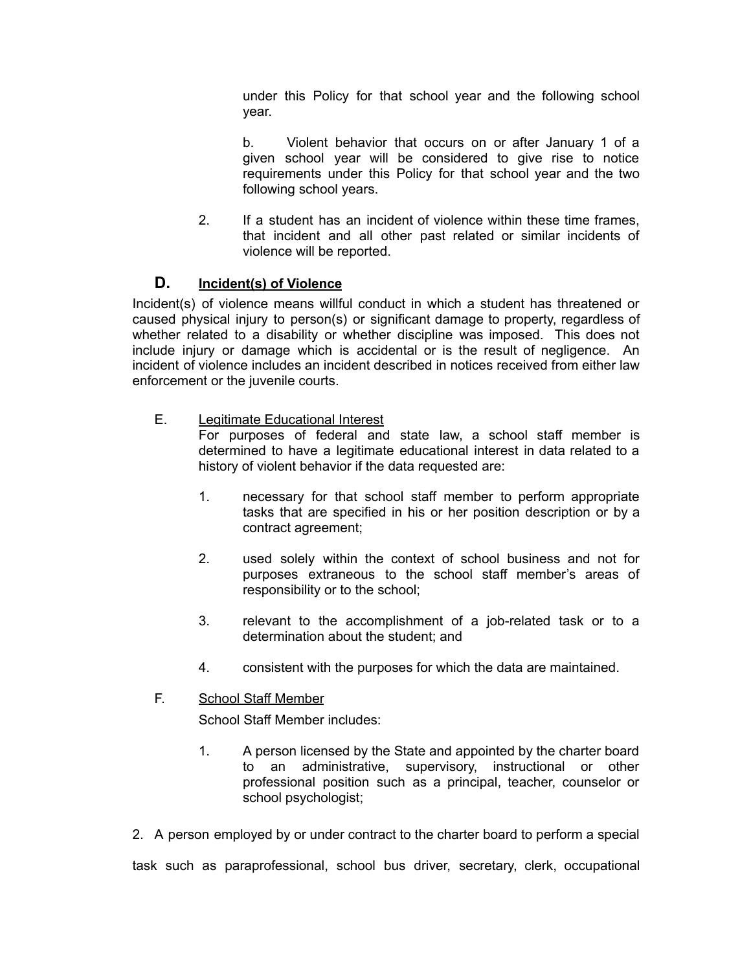under this Policy for that school year and the following school year.

b. Violent behavior that occurs on or after January 1 of a given school year will be considered to give rise to notice requirements under this Policy for that school year and the two following school years.

2. If a student has an incident of violence within these time frames, that incident and all other past related or similar incidents of violence will be reported.

# **D. Incident(s) of Violence**

Incident(s) of violence means willful conduct in which a student has threatened or caused physical injury to person(s) or significant damage to property, regardless of whether related to a disability or whether discipline was imposed. This does not include injury or damage which is accidental or is the result of negligence. An incident of violence includes an incident described in notices received from either law enforcement or the juvenile courts.

E. Legitimate Educational Interest

For purposes of federal and state law, a school staff member is determined to have a legitimate educational interest in data related to a history of violent behavior if the data requested are:

- 1. necessary for that school staff member to perform appropriate tasks that are specified in his or her position description or by a contract agreement;
- 2. used solely within the context of school business and not for purposes extraneous to the school staff member's areas of responsibility or to the school;
- 3. relevant to the accomplishment of a job-related task or to a determination about the student; and
- 4. consistent with the purposes for which the data are maintained.
- F. School Staff Member

School Staff Member includes:

- 1. A person licensed by the State and appointed by the charter board to an administrative, supervisory, instructional or other professional position such as a principal, teacher, counselor or school psychologist;
- 2. A person employed by or under contract to the charter board to perform a special

task such as paraprofessional, school bus driver, secretary, clerk, occupational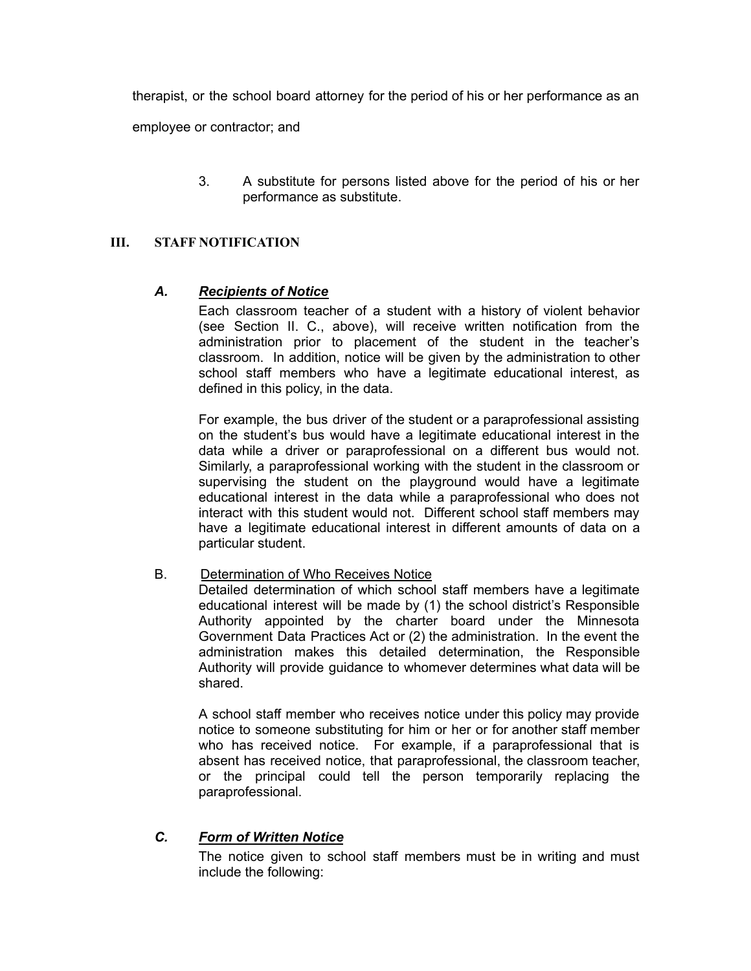therapist, or the school board attorney for the period of his or her performance as an

employee or contractor; and

3. A substitute for persons listed above for the period of his or her performance as substitute.

### **III. STAFF NOTIFICATION**

### *A. Recipients of Notice*

Each classroom teacher of a student with a history of violent behavior (see Section II. C., above), will receive written notification from the administration prior to placement of the student in the teacher's classroom. In addition, notice will be given by the administration to other school staff members who have a legitimate educational interest, as defined in this policy, in the data.

For example, the bus driver of the student or a paraprofessional assisting on the student's bus would have a legitimate educational interest in the data while a driver or paraprofessional on a different bus would not. Similarly, a paraprofessional working with the student in the classroom or supervising the student on the playground would have a legitimate educational interest in the data while a paraprofessional who does not interact with this student would not. Different school staff members may have a legitimate educational interest in different amounts of data on a particular student.

B. Determination of Who Receives Notice

Detailed determination of which school staff members have a legitimate educational interest will be made by (1) the school district's Responsible Authority appointed by the charter board under the Minnesota Government Data Practices Act or (2) the administration. In the event the administration makes this detailed determination, the Responsible Authority will provide guidance to whomever determines what data will be shared.

A school staff member who receives notice under this policy may provide notice to someone substituting for him or her or for another staff member who has received notice. For example, if a paraprofessional that is absent has received notice, that paraprofessional, the classroom teacher, or the principal could tell the person temporarily replacing the paraprofessional.

### *C. Form of Written Notice*

The notice given to school staff members must be in writing and must include the following: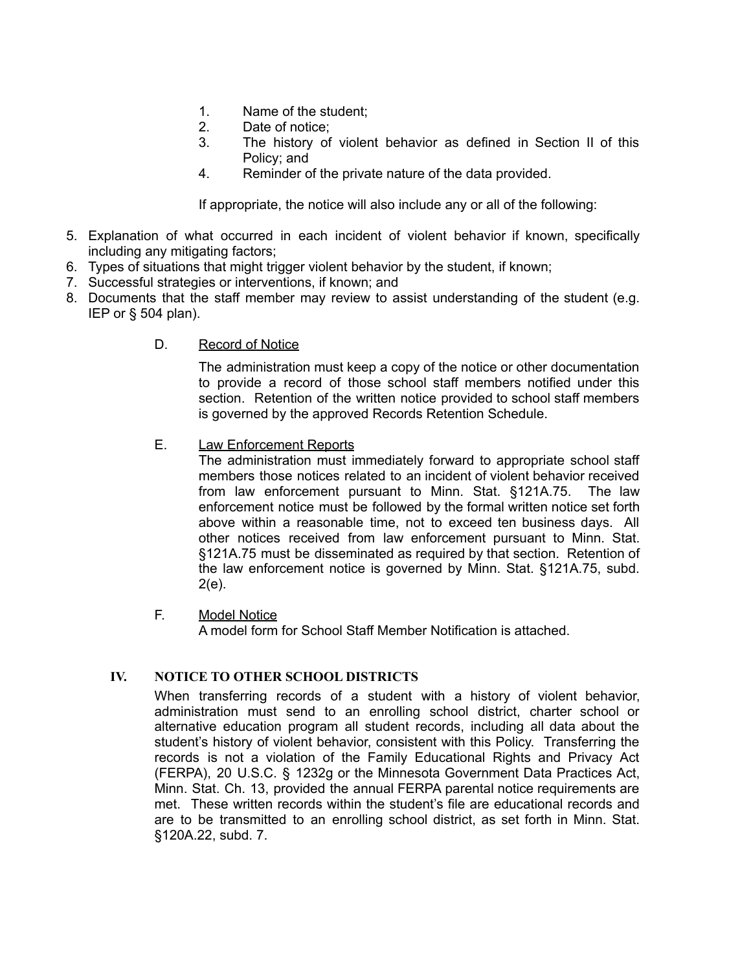- 1. Name of the student;
- 2. Date of notice;
- 3. The history of violent behavior as defined in Section II of this Policy; and
- 4. Reminder of the private nature of the data provided.

If appropriate, the notice will also include any or all of the following:

- 5. Explanation of what occurred in each incident of violent behavior if known, specifically including any mitigating factors;
- 6. Types of situations that might trigger violent behavior by the student, if known;
- 7. Successful strategies or interventions, if known; and
- 8. Documents that the staff member may review to assist understanding of the student (e.g. IEP or § 504 plan).
	- D. Record of Notice

The administration must keep a copy of the notice or other documentation to provide a record of those school staff members notified under this section. Retention of the written notice provided to school staff members is governed by the approved Records Retention Schedule.

E. Law Enforcement Reports

The administration must immediately forward to appropriate school staff members those notices related to an incident of violent behavior received from law enforcement pursuant to Minn. Stat. §121A.75. The law enforcement notice must be followed by the formal written notice set forth above within a reasonable time, not to exceed ten business days. All other notices received from law enforcement pursuant to Minn. Stat. §121A.75 must be disseminated as required by that section. Retention of the law enforcement notice is governed by Minn. Stat. §121A.75, subd. 2(e).

F. Model Notice

A model form for School Staff Member Notification is attached.

### **IV. NOTICE TO OTHER SCHOOL DISTRICTS**

When transferring records of a student with a history of violent behavior, administration must send to an enrolling school district, charter school or alternative education program all student records, including all data about the student's history of violent behavior, consistent with this Policy. Transferring the records is not a violation of the Family Educational Rights and Privacy Act (FERPA), 20 U.S.C. § 1232g or the Minnesota Government Data Practices Act, Minn. Stat. Ch. 13, provided the annual FERPA parental notice requirements are met. These written records within the student's file are educational records and are to be transmitted to an enrolling school district, as set forth in Minn. Stat. §120A.22, subd. 7.